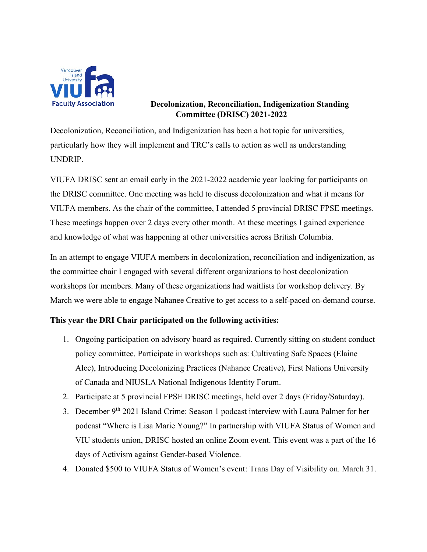

## **Decolonization, Reconciliation, Indigenization Standing Committee (DRISC) 2021-2022**

Decolonization, Reconciliation, and Indigenization has been a hot topic for universities, particularly how they will implement and TRC's calls to action as well as understanding UNDRIP.

VIUFA DRISC sent an email early in the 2021-2022 academic year looking for participants on the DRISC committee. One meeting was held to discuss decolonization and what it means for VIUFA members. As the chair of the committee, I attended 5 provincial DRISC FPSE meetings. These meetings happen over 2 days every other month. At these meetings I gained experience and knowledge of what was happening at other universities across British Columbia.

In an attempt to engage VIUFA members in decolonization, reconciliation and indigenization, as the committee chair I engaged with several different organizations to host decolonization workshops for members. Many of these organizations had waitlists for workshop delivery. By March we were able to engage Nahanee Creative to get access to a self-paced on-demand course.

## **This year the DRI Chair participated on the following activities:**

- 1. Ongoing participation on advisory board as required. Currently sitting on student conduct policy committee. Participate in workshops such as: Cultivating Safe Spaces (Elaine Alec), Introducing Decolonizing Practices (Nahanee Creative), First Nations University of Canada and NIUSLA National Indigenous Identity Forum.
- 2. Participate at 5 provincial FPSE DRISC meetings, held over 2 days (Friday/Saturday).
- 3. December 9th 2021 Island Crime: Season 1 podcast interview with Laura Palmer for her podcast "Where is Lisa Marie Young?" In partnership with VIUFA Status of Women and VIU students union, DRISC hosted an online Zoom event. This event was a part of the 16 days of Activism against Gender-based Violence.
- 4. Donated \$500 to VIUFA Status of Women's event: Trans Day of Visibility on. March 31.